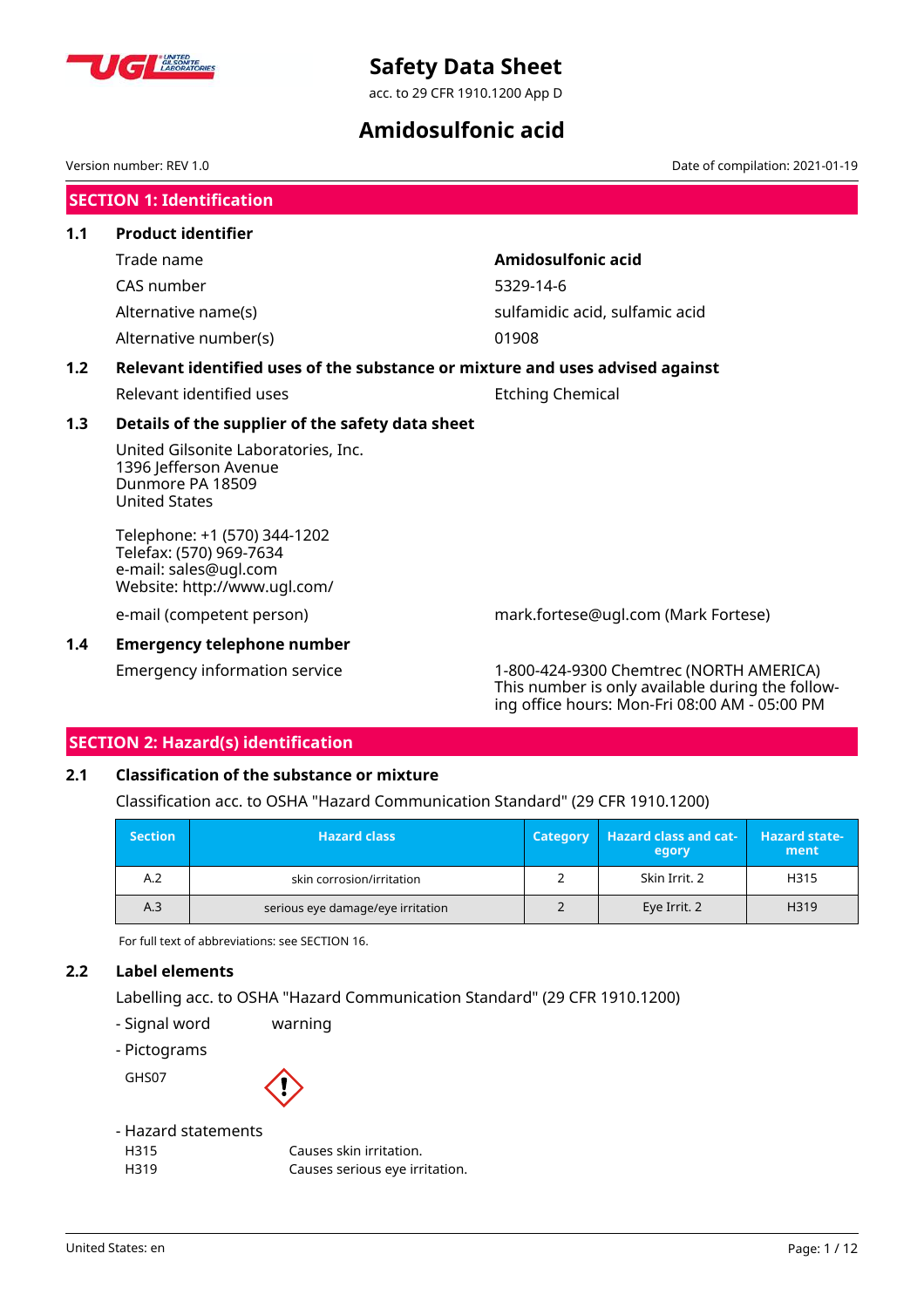

acc. to 29 CFR 1910.1200 App D

## **Amidosulfonic acid**

Version number: REV 1.0 Date of compilation: 2021-01-19

**SECTION 1: Identification**

| 1.1 | <b>Product identifier</b>                                                                                |                                |  |  |
|-----|----------------------------------------------------------------------------------------------------------|--------------------------------|--|--|
|     | Trade name                                                                                               | Amidosulfonic acid             |  |  |
|     | CAS number                                                                                               | 5329-14-6                      |  |  |
|     | Alternative name(s)                                                                                      | sulfamidic acid, sulfamic acid |  |  |
|     | Alternative number(s)                                                                                    | 01908                          |  |  |
| 1.2 | Relevant identified uses of the substance or mixture and uses advised against                            |                                |  |  |
|     | Relevant identified uses                                                                                 | <b>Etching Chemical</b>        |  |  |
| 1.3 | Details of the supplier of the safety data sheet                                                         |                                |  |  |
|     | United Gilsonite Laboratories, Inc.<br>1396 Jefferson Avenue<br>Dunmore PA 18509<br><b>United States</b> |                                |  |  |

Telephone: +1 (570) 344-1202 Telefax: (570) 969-7634 e-mail: sales@ugl.com Website: http://www.ugl.com/

#### **1.4 Emergency telephone number**

e-mail (competent person) mark.fortese@ugl.com (Mark Fortese)

Emergency information service 1-800-424-9300 Chemtrec (NORTH AMERICA) This number is only available during the following office hours: Mon-Fri 08:00 AM - 05:00 PM

## **SECTION 2: Hazard(s) identification**

## **2.1 Classification of the substance or mixture**

Classification acc. to OSHA "Hazard Communication Standard" (29 CFR 1910.1200)

| <b>Section</b> | <b>Hazard class</b>               | <b>Category</b> | <b>Hazard class and cat-</b><br>egory | <b>Hazard state-</b><br>ment |
|----------------|-----------------------------------|-----------------|---------------------------------------|------------------------------|
| A.2            | skin corrosion/irritation         |                 | Skin Irrit. 2                         | H315                         |
| A.3            | serious eye damage/eye irritation |                 | Eye Irrit. 2                          | H319                         |

For full text of abbreviations: see SECTION 16.

## **2.2 Label elements**

Labelling acc. to OSHA "Hazard Communication Standard" (29 CFR 1910.1200)

- Signal word warning
- Pictograms

GHS07



## - Hazard statements

| H315 | Causes skin irritation.        |
|------|--------------------------------|
| H319 | Causes serious eye irritation. |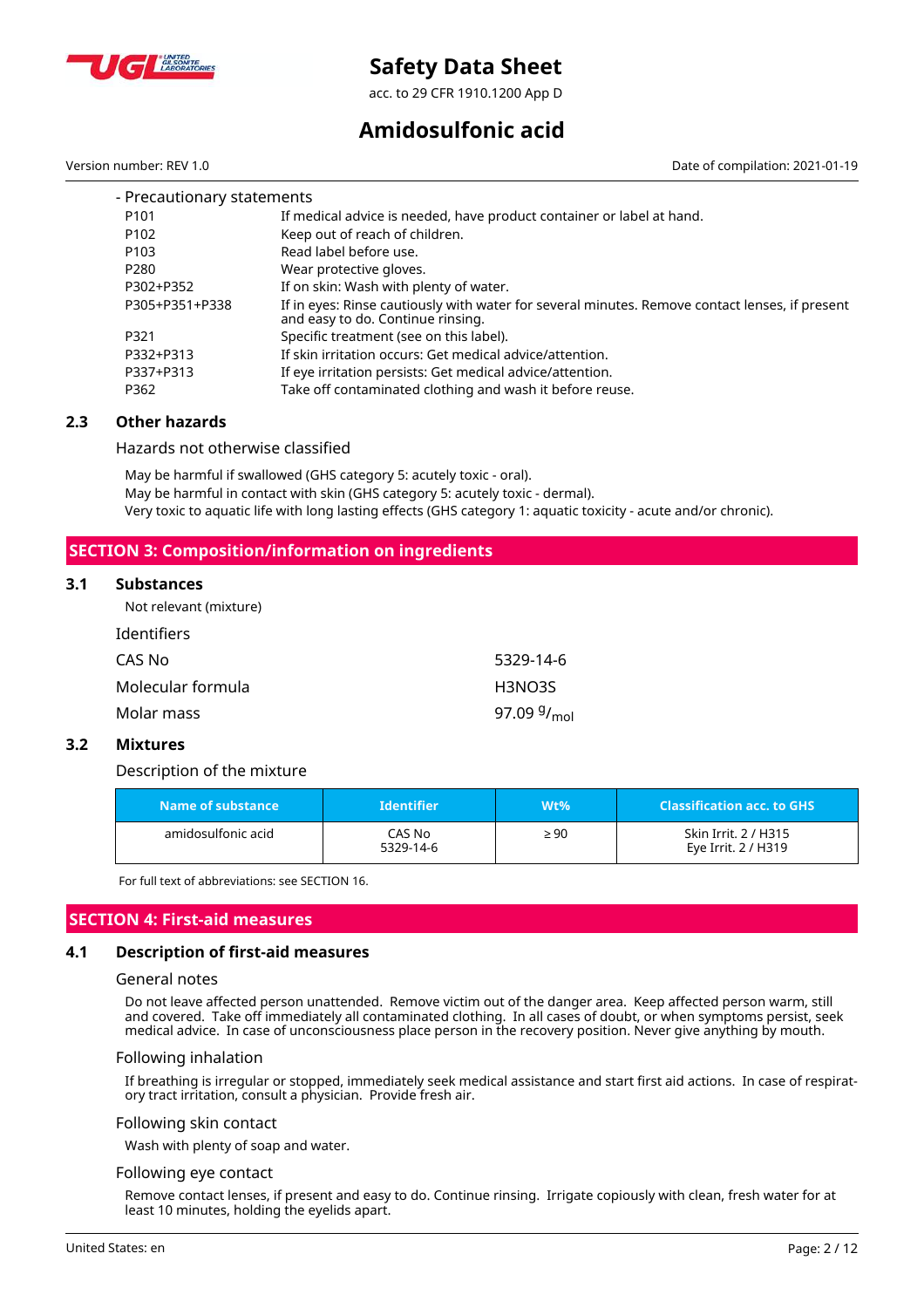

acc. to 29 CFR 1910.1200 App D

## **Amidosulfonic acid**

Version number: REV 1.0 Date of compilation: 2021-01-19

| - Precautionary statements |                                                                                                                                     |
|----------------------------|-------------------------------------------------------------------------------------------------------------------------------------|
| P <sub>101</sub>           | If medical advice is needed, have product container or label at hand.                                                               |
| P <sub>102</sub>           | Keep out of reach of children.                                                                                                      |
| P <sub>103</sub>           | Read label before use.                                                                                                              |
| P <sub>280</sub>           | Wear protective gloves.                                                                                                             |
| P302+P352                  | If on skin: Wash with plenty of water.                                                                                              |
| P305+P351+P338             | If in eyes: Rinse cautiously with water for several minutes. Remove contact lenses, if present<br>and easy to do. Continue rinsing. |
| P321                       | Specific treatment (see on this label).                                                                                             |
| P332+P313                  | If skin irritation occurs: Get medical advice/attention.                                                                            |
| P337+P313                  | If eye irritation persists: Get medical advice/attention.                                                                           |
| P362                       | Take off contaminated clothing and wash it before reuse.                                                                            |

#### **2.3 Other hazards**

Hazards not otherwise classified

May be harmful if swallowed (GHS category 5: acutely toxic - oral). May be harmful in contact with skin (GHS category 5: acutely toxic - dermal). Very toxic to aquatic life with long lasting effects (GHS category 1: aquatic toxicity - acute and/or chronic).

## **SECTION 3: Composition/information on ingredients**

#### **3.1 Substances**

Not relevant (mixture)

| 5329-14-6                           |
|-------------------------------------|
| H3NO3S                              |
| 97.09 <sup>g</sup> / <sub>mol</sub> |
|                                     |

#### **3.2 Mixtures**

Description of the mixture

| Name of substance  | <b>Identifier</b>   | Wt%       | <b>Classification acc. to GHS</b>           |
|--------------------|---------------------|-----------|---------------------------------------------|
| amidosulfonic acid | CAS No<br>5329-14-6 | $\geq 90$ | Skin Irrit, 2 / H315<br>Eye Irrit. 2 / H319 |

For full text of abbreviations: see SECTION 16.

### **SECTION 4: First-aid measures**

#### **4.1 Description of first-aid measures**

#### General notes

Do not leave affected person unattended. Remove victim out of the danger area. Keep affected person warm, still and covered. Take off immediately all contaminated clothing. In all cases of doubt, or when symptoms persist, seek medical advice. In case of unconsciousness place person in the recovery position. Never give anything by mouth.

#### Following inhalation

If breathing is irregular or stopped, immediately seek medical assistance and start first aid actions. In case of respiratory tract irritation, consult a physician. Provide fresh air.

#### Following skin contact

Wash with plenty of soap and water.

## Following eye contact

Remove contact lenses, if present and easy to do. Continue rinsing. Irrigate copiously with clean, fresh water for at least 10 minutes, holding the eyelids apart.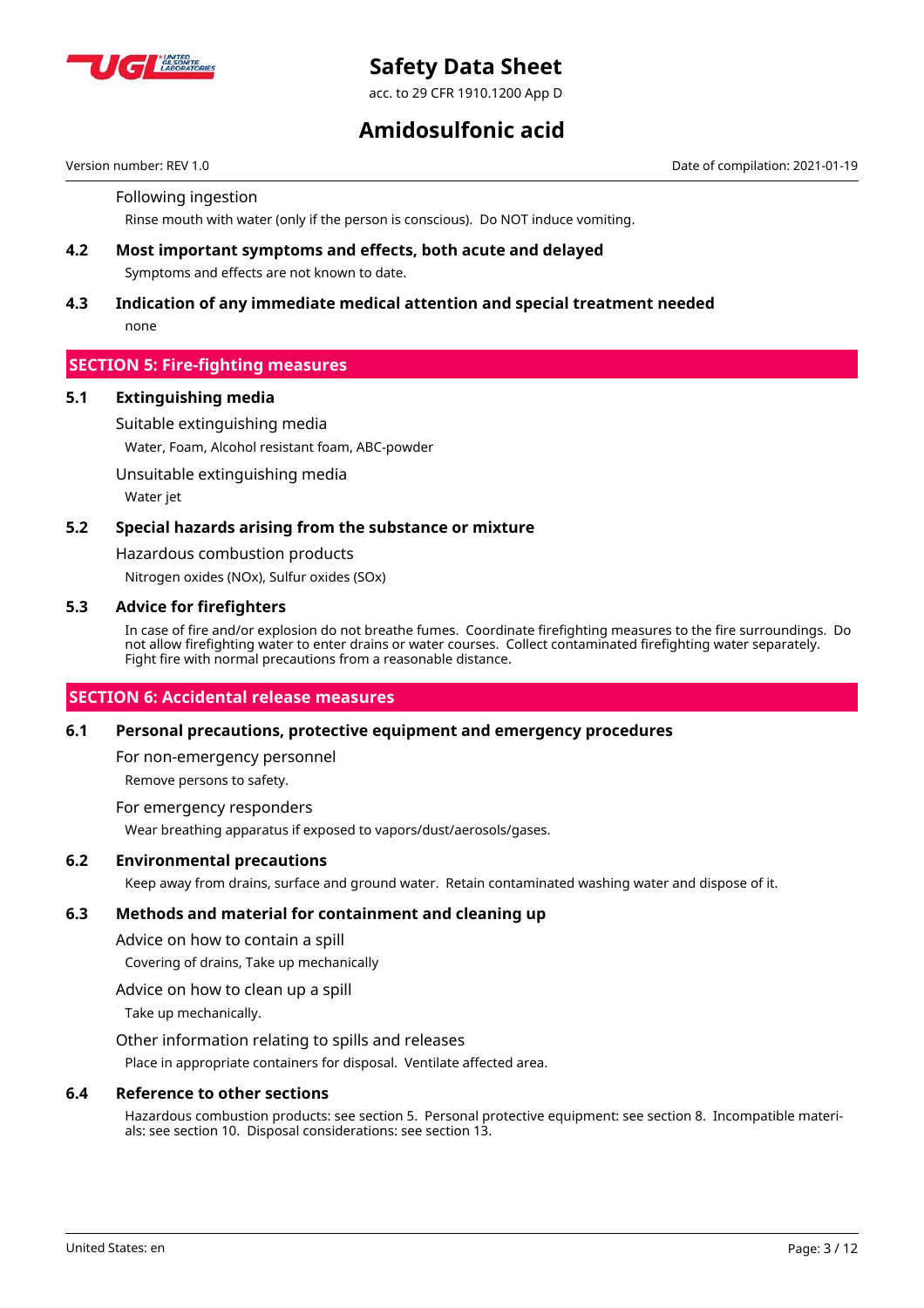

acc. to 29 CFR 1910.1200 App D

## **Amidosulfonic acid**

Version number: REV 1.0 Date of compilation: 2021-01-19

Following ingestion

Rinse mouth with water (only if the person is conscious). Do NOT induce vomiting.

## **4.2 Most important symptoms and effects, both acute and delayed** Symptoms and effects are not known to date.

## **4.3 Indication of any immediate medical attention and special treatment needed** none

## **SECTION 5: Fire-fighting measures**

#### **5.1 Extinguishing media**

Suitable extinguishing media

Water, Foam, Alcohol resistant foam, ABC-powder

Unsuitable extinguishing media

Water jet

#### **5.2 Special hazards arising from the substance or mixture**

Hazardous combustion products

Nitrogen oxides (NOx), Sulfur oxides (SOx)

#### **5.3 Advice for firefighters**

In case of fire and/or explosion do not breathe fumes. Coordinate firefighting measures to the fire surroundings. Do not allow firefighting water to enter drains or water courses. Collect contaminated firefighting water separately. Fight fire with normal precautions from a reasonable distance.

## **SECTION 6: Accidental release measures**

#### **6.1 Personal precautions, protective equipment and emergency procedures**

For non-emergency personnel

Remove persons to safety.

For emergency responders

Wear breathing apparatus if exposed to vapors/dust/aerosols/gases.

## **6.2 Environmental precautions**

Keep away from drains, surface and ground water. Retain contaminated washing water and dispose of it.

## **6.3 Methods and material for containment and cleaning up**

Advice on how to contain a spill

Covering of drains, Take up mechanically

Advice on how to clean up a spill

Take up mechanically.

Other information relating to spills and releases

Place in appropriate containers for disposal. Ventilate affected area.

#### **6.4 Reference to other sections**

Hazardous combustion products: see section 5. Personal protective equipment: see section 8. Incompatible materials: see section 10. Disposal considerations: see section 13.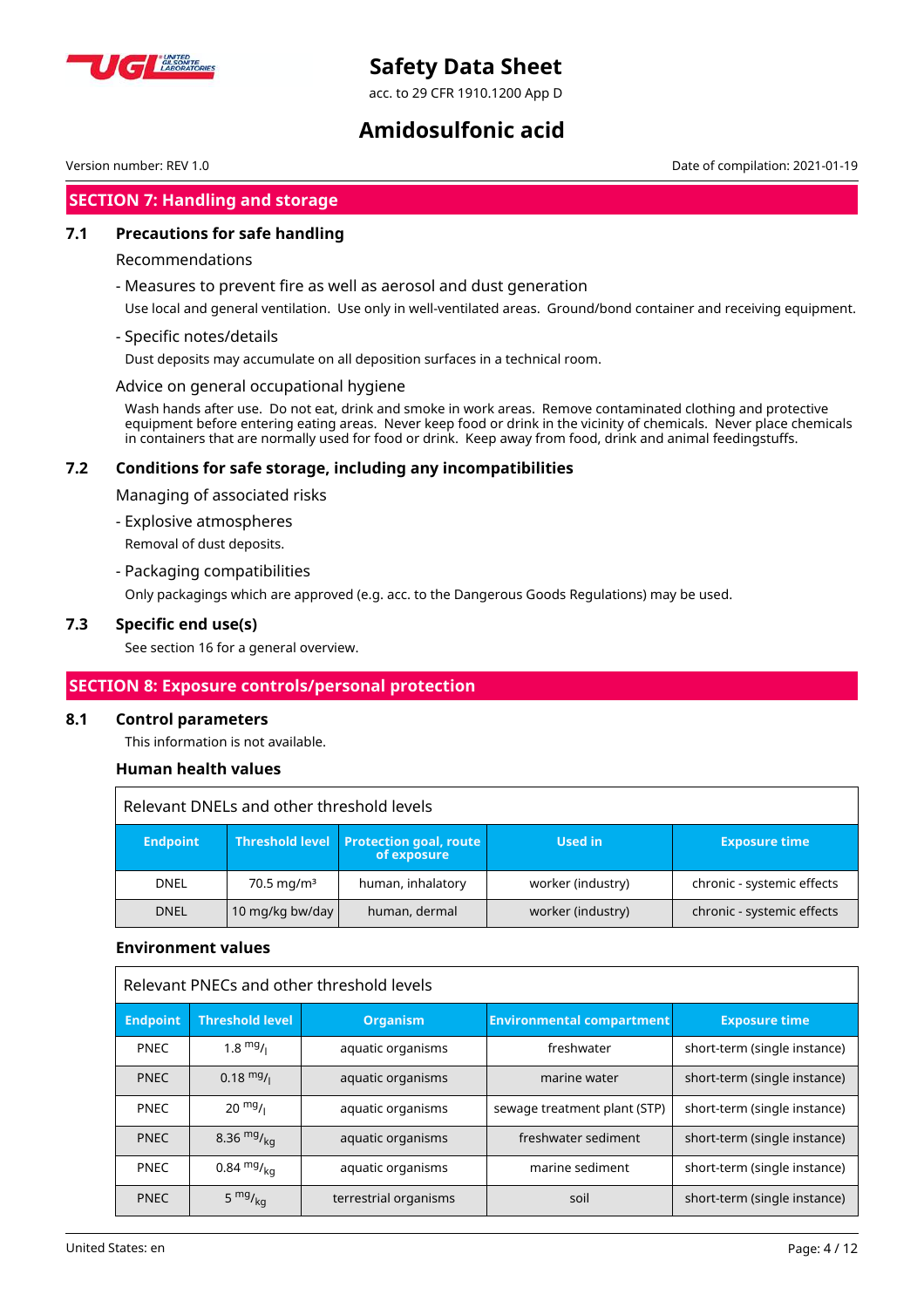

acc. to 29 CFR 1910.1200 App D

## **Amidosulfonic acid**

**SECTION 7: Handling and storage**

## **7.1 Precautions for safe handling**

### Recommendations

- Measures to prevent fire as well as aerosol and dust generation

Use local and general ventilation. Use only in well-ventilated areas. Ground/bond container and receiving equipment.

- Specific notes/details

Dust deposits may accumulate on all deposition surfaces in a technical room.

Advice on general occupational hygiene

Wash hands after use. Do not eat, drink and smoke in work areas. Remove contaminated clothing and protective equipment before entering eating areas. Never keep food or drink in the vicinity of chemicals. Never place chemicals in containers that are normally used for food or drink. Keep away from food, drink and animal feedingstuffs.

## **7.2 Conditions for safe storage, including any incompatibilities**

Managing of associated risks

- Explosive atmospheres

Removal of dust deposits.

- Packaging compatibilities

Only packagings which are approved (e.g. acc. to the Dangerous Goods Regulations) may be used.

## **7.3 Specific end use(s)**

See section 16 for a general overview.

## **SECTION 8: Exposure controls/personal protection**

#### **8.1 Control parameters**

This information is not available.

## **Human health values**

| Relevant DNELs and other threshold levels |                        |                                                         |                   |                            |  |  |
|-------------------------------------------|------------------------|---------------------------------------------------------|-------------------|----------------------------|--|--|
| <b>Endpoint</b>                           |                        | Threshold level   Protection goal, route<br>of exposure | <b>Used in</b>    | <b>Exposure time</b>       |  |  |
| <b>DNEL</b>                               | 70.5 mg/m <sup>3</sup> | human, inhalatory                                       | worker (industry) | chronic - systemic effects |  |  |
| <b>DNEL</b>                               | 10 mg/kg bw/day        | human, dermal                                           | worker (industry) | chronic - systemic effects |  |  |

## **Environment values**

| Relevant PNECs and other threshold levels |                        |                       |                                  |                              |  |
|-------------------------------------------|------------------------|-----------------------|----------------------------------|------------------------------|--|
| <b>Endpoint</b>                           | <b>Threshold level</b> | <b>Organism</b>       | <b>Environmental compartment</b> | <b>Exposure time</b>         |  |
| <b>PNEC</b>                               | $1.8 \frac{mg}{l}$     | aquatic organisms     | freshwater                       | short-term (single instance) |  |
| <b>PNEC</b>                               | $0.18 \frac{mg}{l}$    | aquatic organisms     | marine water                     | short-term (single instance) |  |
| <b>PNEC</b>                               | $20 \frac{mg}{l}$      | aquatic organisms     | sewage treatment plant (STP)     | short-term (single instance) |  |
| <b>PNEC</b>                               | 8.36 $mg/kq$           | aquatic organisms     | freshwater sediment              | short-term (single instance) |  |
| <b>PNEC</b>                               | $0.84 \frac{mg}{ka}$   | aquatic organisms     | marine sediment                  | short-term (single instance) |  |
| <b>PNEC</b>                               | 5 $mg/kq$              | terrestrial organisms | soil                             | short-term (single instance) |  |

Version number: REV 1.0 Date of compilation: 2021-01-19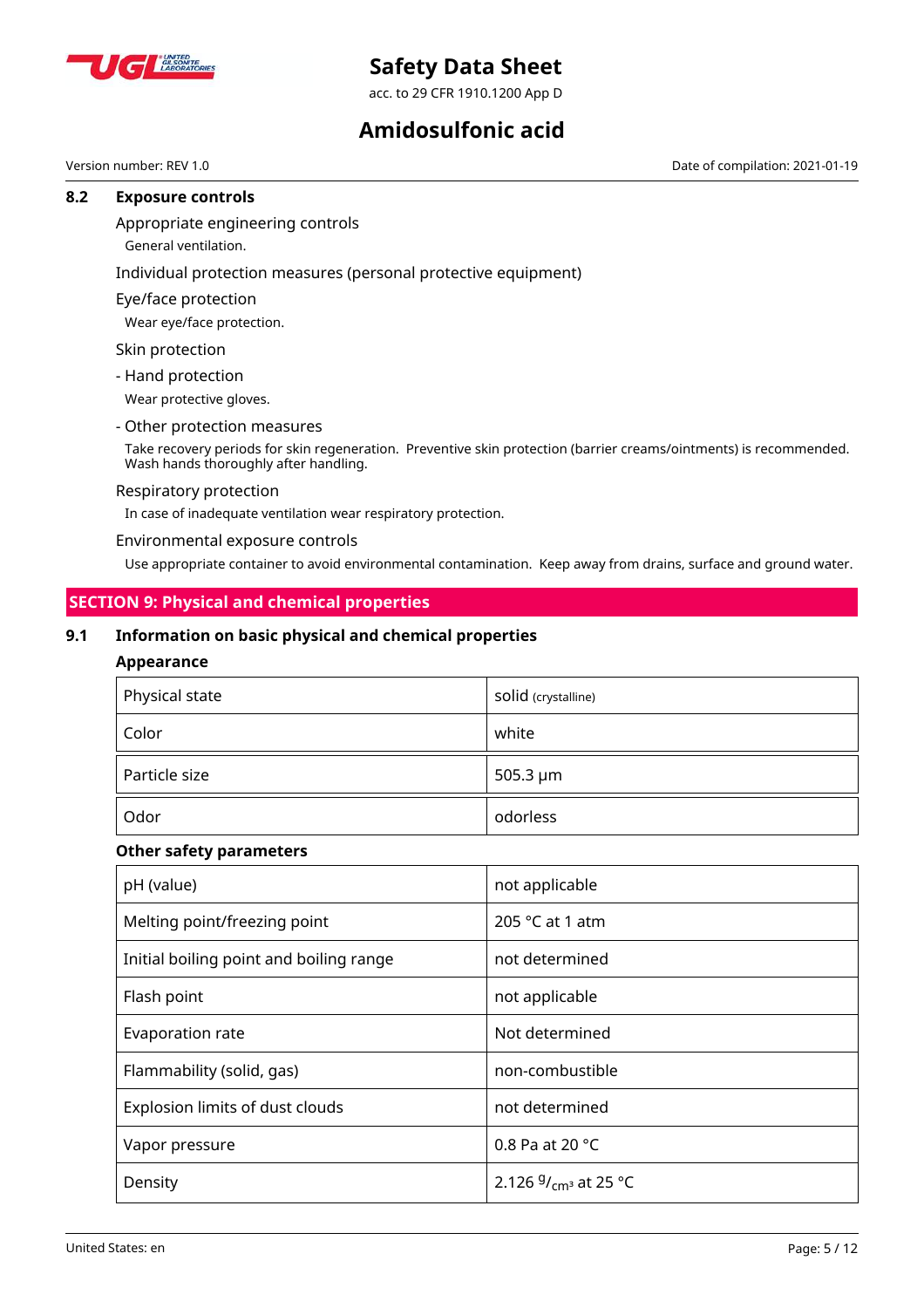

acc. to 29 CFR 1910.1200 App D

## **Amidosulfonic acid**

Version number: REV 1.0 Date of compilation: 2021-01-19

#### **8.2 Exposure controls**

### Appropriate engineering controls

General ventilation.

## Individual protection measures (personal protective equipment)

Eye/face protection

Wear eye/face protection.

Skin protection

- Hand protection

Wear protective gloves.

#### - Other protection measures

Take recovery periods for skin regeneration. Preventive skin protection (barrier creams/ointments) is recommended. Wash hands thoroughly after handling.

#### Respiratory protection

In case of inadequate ventilation wear respiratory protection.

Environmental exposure controls

Use appropriate container to avoid environmental contamination. Keep away from drains, surface and ground water.

## **SECTION 9: Physical and chemical properties**

## **9.1 Information on basic physical and chemical properties**

## **Appearance**

| Physical state | Solid (crystalline) |
|----------------|---------------------|
| Color          | white               |
| Particle size  | 505.3 µm            |
| Odor           | odorless            |

#### **Other safety parameters**

| pH (value)                              | not applicable             |
|-----------------------------------------|----------------------------|
| Melting point/freezing point            | 205 $°C$ at 1 atm          |
| Initial boiling point and boiling range | not determined             |
| Flash point                             | not applicable             |
| Evaporation rate                        | Not determined             |
| Flammability (solid, gas)               | non-combustible            |
| Explosion limits of dust clouds         | not determined             |
| Vapor pressure                          | 0.8 Pa at 20 °C            |
| Density                                 | 2.126 $9/_{cm^3}$ at 25 °C |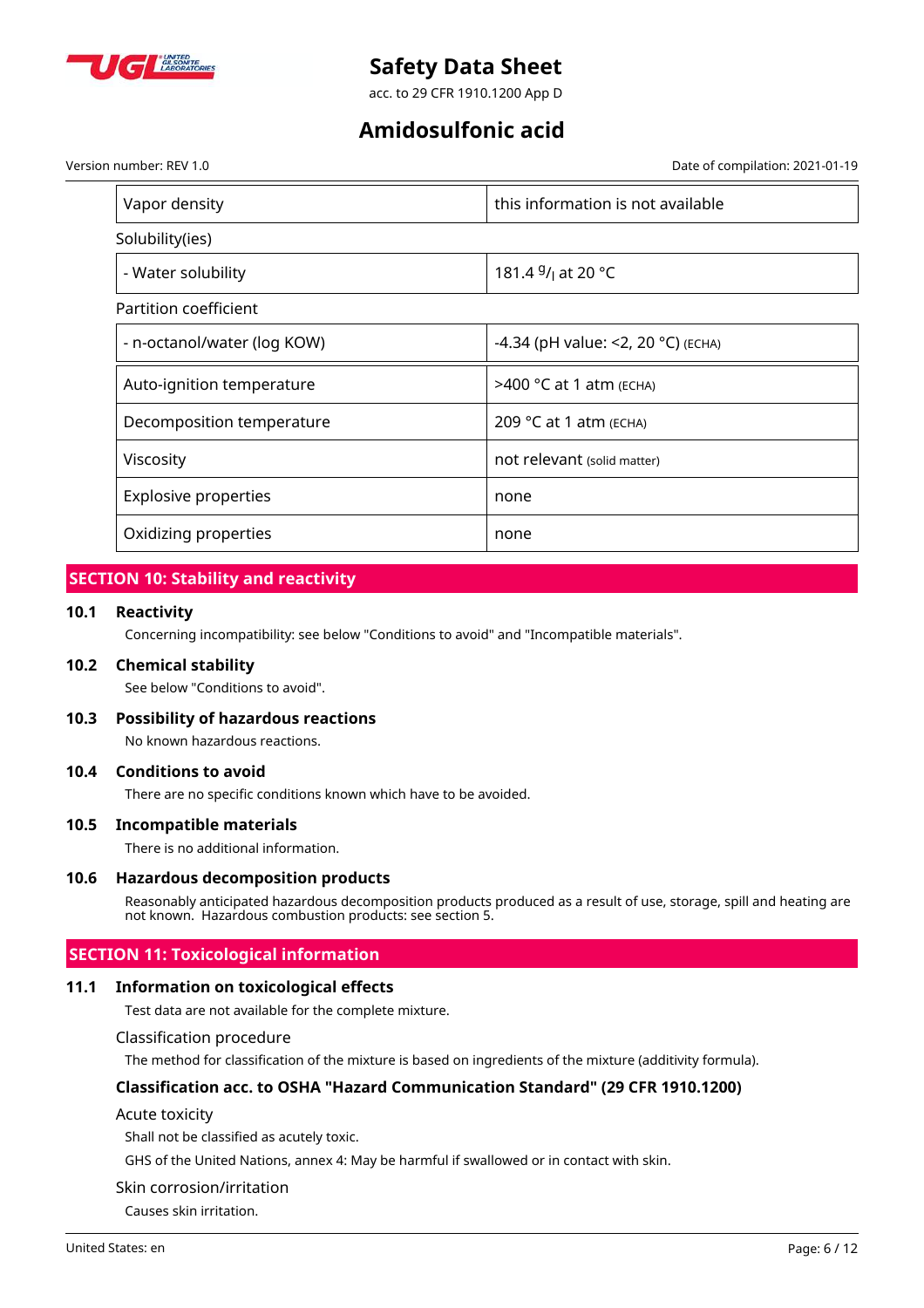

acc. to 29 CFR 1910.1200 App D

## **Amidosulfonic acid**

Version number: REV 1.0 Date of compilation: 2021-01-19

| Vapor density               | this information is not available          |
|-----------------------------|--------------------------------------------|
| Solubility(ies)             |                                            |
| - Water solubility          | 181.4 <sup>g</sup> / <sub>l</sub> at 20 °C |
| Partition coefficient       |                                            |
| - n-octanol/water (log KOW) | -4.34 (pH value: <2, 20 °C) (ECHA)         |
| Auto-ignition temperature   | >400 °C at 1 atm (ECHA)                    |
| Decomposition temperature   | 209 °C at 1 atm (ECHA)                     |
| Viscosity                   | not relevant (solid matter)                |
| <b>Explosive properties</b> | none                                       |
| Oxidizing properties        | none                                       |

## **SECTION 10: Stability and reactivity**

#### **10.1 Reactivity**

Concerning incompatibility: see below "Conditions to avoid" and "Incompatible materials".

#### **10.2 Chemical stability**

See below "Conditions to avoid".

#### **10.3 Possibility of hazardous reactions**

No known hazardous reactions.

#### **10.4 Conditions to avoid**

There are no specific conditions known which have to be avoided.

#### **10.5 Incompatible materials**

There is no additional information.

#### **10.6 Hazardous decomposition products**

Reasonably anticipated hazardous decomposition products produced as a result of use, storage, spill and heating are not known. Hazardous combustion products: see section 5.

## **SECTION 11: Toxicological information**

#### **11.1 Information on toxicological effects**

Test data are not available for the complete mixture.

#### Classification procedure

The method for classification of the mixture is based on ingredients of the mixture (additivity formula).

### **Classification acc. to OSHA "Hazard Communication Standard" (29 CFR 1910.1200)**

#### Acute toxicity

Shall not be classified as acutely toxic.

GHS of the United Nations, annex 4: May be harmful if swallowed or in contact with skin.

#### Skin corrosion/irritation

Causes skin irritation.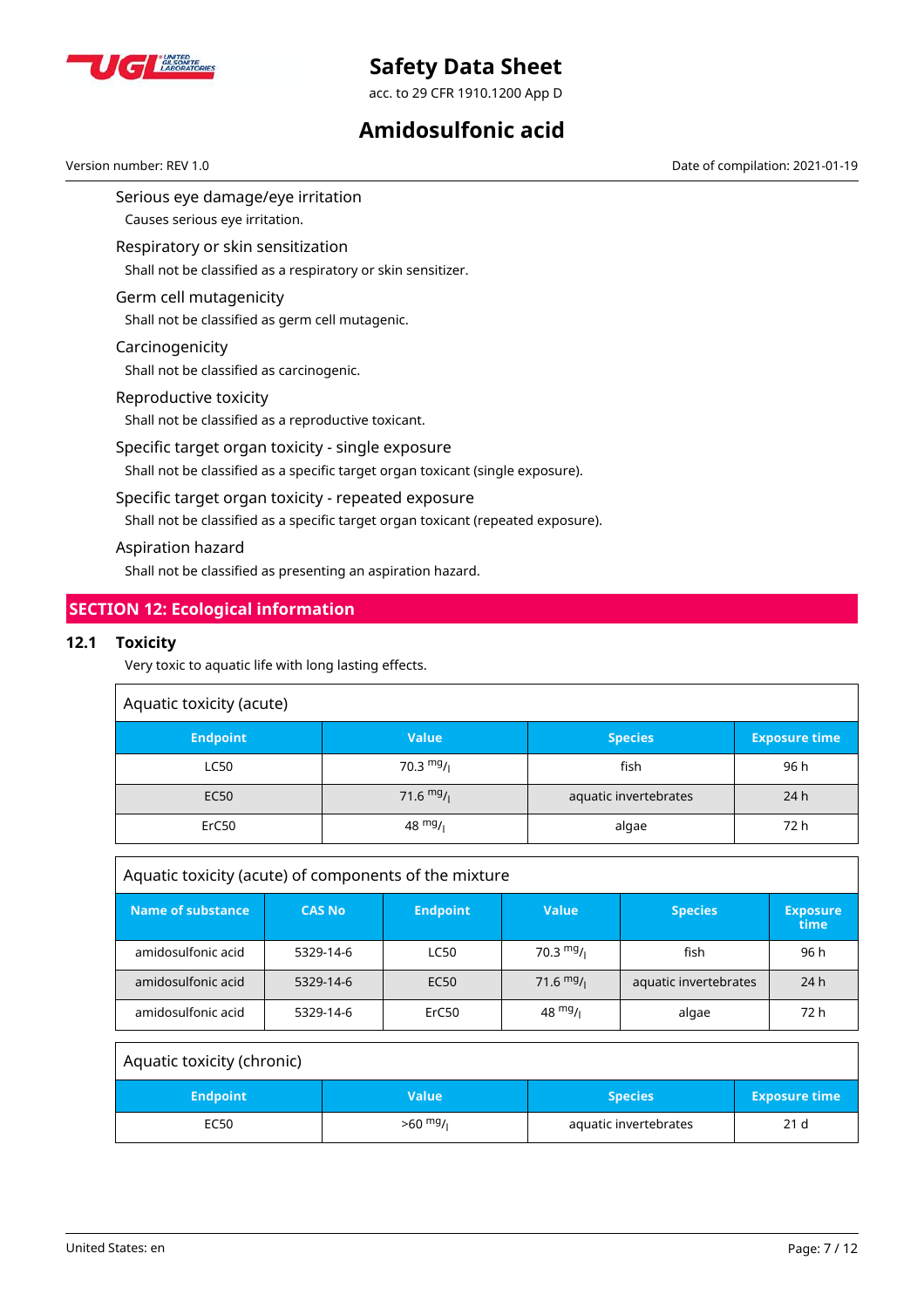

acc. to 29 CFR 1910.1200 App D

## **Amidosulfonic acid**

Serious eye damage/eye irritation Version number: REV 1.0 Date of compilation: 2021-01-19

Causes serious eye irritation.

Respiratory or skin sensitization

Shall not be classified as a respiratory or skin sensitizer.

## Germ cell mutagenicity

Shall not be classified as germ cell mutagenic.

## Carcinogenicity

Shall not be classified as carcinogenic.

### Reproductive toxicity

Shall not be classified as a reproductive toxicant.

## Specific target organ toxicity - single exposure

Shall not be classified as a specific target organ toxicant (single exposure).

#### Specific target organ toxicity - repeated exposure

Shall not be classified as a specific target organ toxicant (repeated exposure).

#### Aspiration hazard

Shall not be classified as presenting an aspiration hazard.

## **SECTION 12: Ecological information**

## **12.1 Toxicity**

Very toxic to aquatic life with long lasting effects.

| Aquatic toxicity (acute) |              |                       |                      |  |  |
|--------------------------|--------------|-----------------------|----------------------|--|--|
| <b>Endpoint</b>          | <b>Value</b> | <b>Species</b>        | <b>Exposure time</b> |  |  |
| <b>LC50</b>              | 70.3 $mg/1$  | fish                  | 96 h                 |  |  |
| <b>EC50</b>              | 71.6 $mg/$   | aquatic invertebrates | 24h                  |  |  |
| ErC50                    | 48 $mg/1$    | algae                 | 72 h                 |  |  |

| Aquatic toxicity (acute) of components of the mixture |               |                  |                   |                       |                         |
|-------------------------------------------------------|---------------|------------------|-------------------|-----------------------|-------------------------|
| <b>Name of substance</b>                              | <b>CAS No</b> | <b>Endpoint</b>  | <b>Value</b>      | <b>Species</b>        | <b>Exposure</b><br>time |
| amidosulfonic acid                                    | 5329-14-6     | <b>LC50</b>      | 70.3 $mg/1$       | fish                  | 96 h                    |
| amidosulfonic acid                                    | 5329-14-6     | EC <sub>50</sub> | 71.6 $mg/1$       | aquatic invertebrates | 24 h                    |
| amidosulfonic acid                                    | 5329-14-6     | ErC50            | $48 \frac{mg}{l}$ | algae                 | 72 h                    |

| Aquatic toxicity (chronic) |              |                       |                      |
|----------------------------|--------------|-----------------------|----------------------|
| <b>Endpoint</b>            | <b>Value</b> | <b>Species</b>        | <b>Exposure time</b> |
| EC50                       | $>60$ mg/    | aquatic invertebrates | 21 <sub>d</sub>      |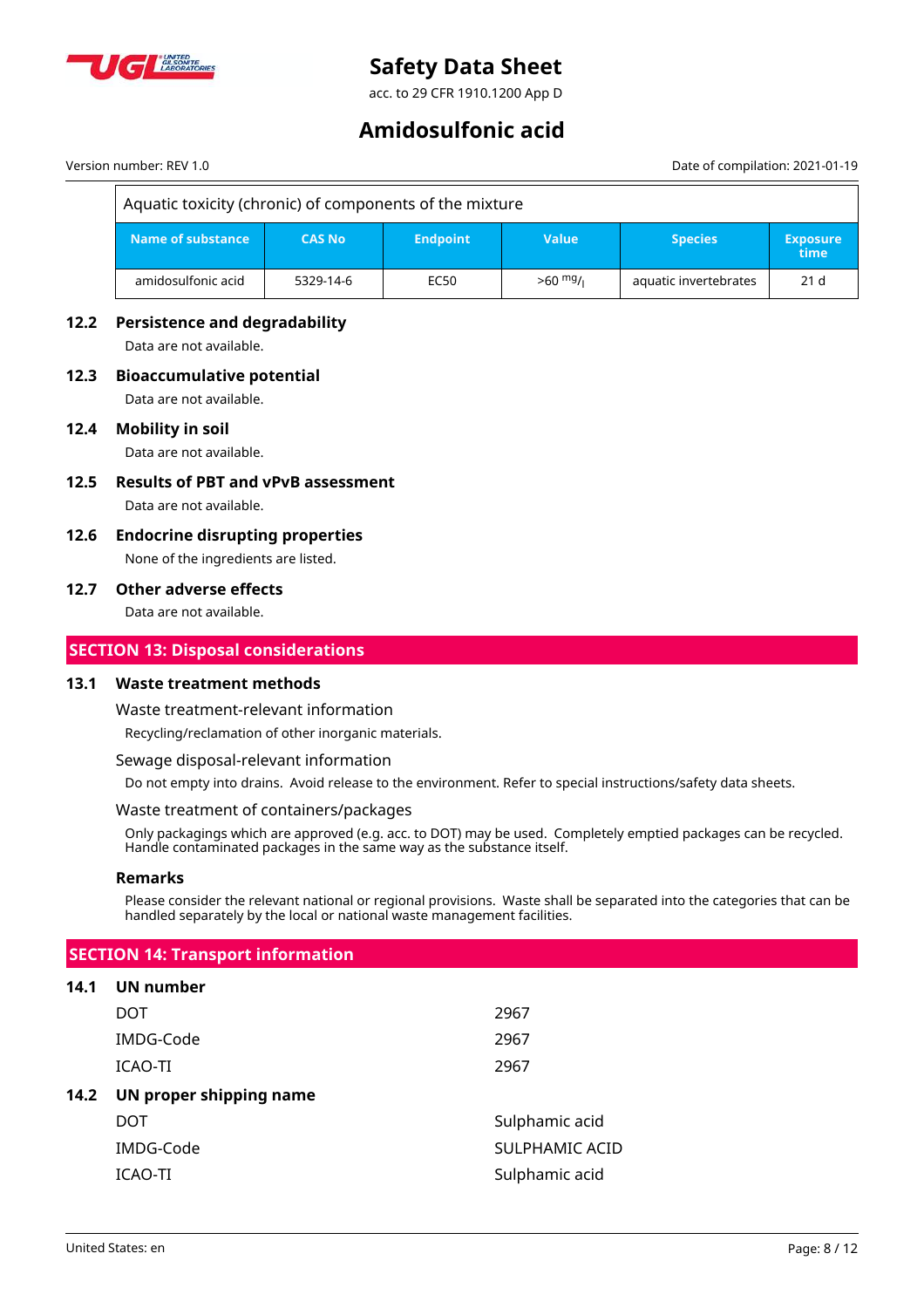

acc. to 29 CFR 1910.1200 App D

## **Amidosulfonic acid**

#### Version number: REV 1.0 Date of compilation: 2021-01-19

## Aquatic toxicity (chronic) of components of the mixture

| ا Name of substance ا | <b>CAS No</b> | <b>Endpoint</b> | <b>Value</b> | <b>Species</b>        | <b>Exposure</b><br>اtime |
|-----------------------|---------------|-----------------|--------------|-----------------------|--------------------------|
| amidosulfonic acid    | 5329-14-6     | EC50            | $>60$ mg/    | aquatic invertebrates | 21 <sub>d</sub>          |

## **12.2 Persistence and degradability**

Data are not available.

## **12.3 Bioaccumulative potential**

Data are not available.

## **12.4 Mobility in soil**

Data are not available.

- **12.5 Results of PBT and vPvB assessment** Data are not available.
- **12.6 Endocrine disrupting properties** None of the ingredients are listed.

#### **12.7 Other adverse effects**

Data are not available.

## **SECTION 13: Disposal considerations**

#### **13.1 Waste treatment methods**

Waste treatment-relevant information

Recycling/reclamation of other inorganic materials.

Sewage disposal-relevant information

Do not empty into drains. Avoid release to the environment. Refer to special instructions/safety data sheets.

#### Waste treatment of containers/packages

Only packagings which are approved (e.g. acc. to DOT) may be used. Completely emptied packages can be recycled. Handle contaminated packages in the same way as the substance itself.

#### **Remarks**

Please consider the relevant national or regional provisions. Waste shall be separated into the categories that can be handled separately by the local or national waste management facilities.

## **SECTION 14: Transport information**

#### **14.1 UN number**

|      | DOT                     | 2967           |
|------|-------------------------|----------------|
|      | IMDG-Code               | 2967           |
|      | ICAO-TI                 | 2967           |
| 14.2 | UN proper shipping name |                |
|      | DOT                     | Sulphamic acid |
|      | IMDG-Code               | SULPHAMIC ACID |
|      | ICAO-TI                 | Sulphamic acid |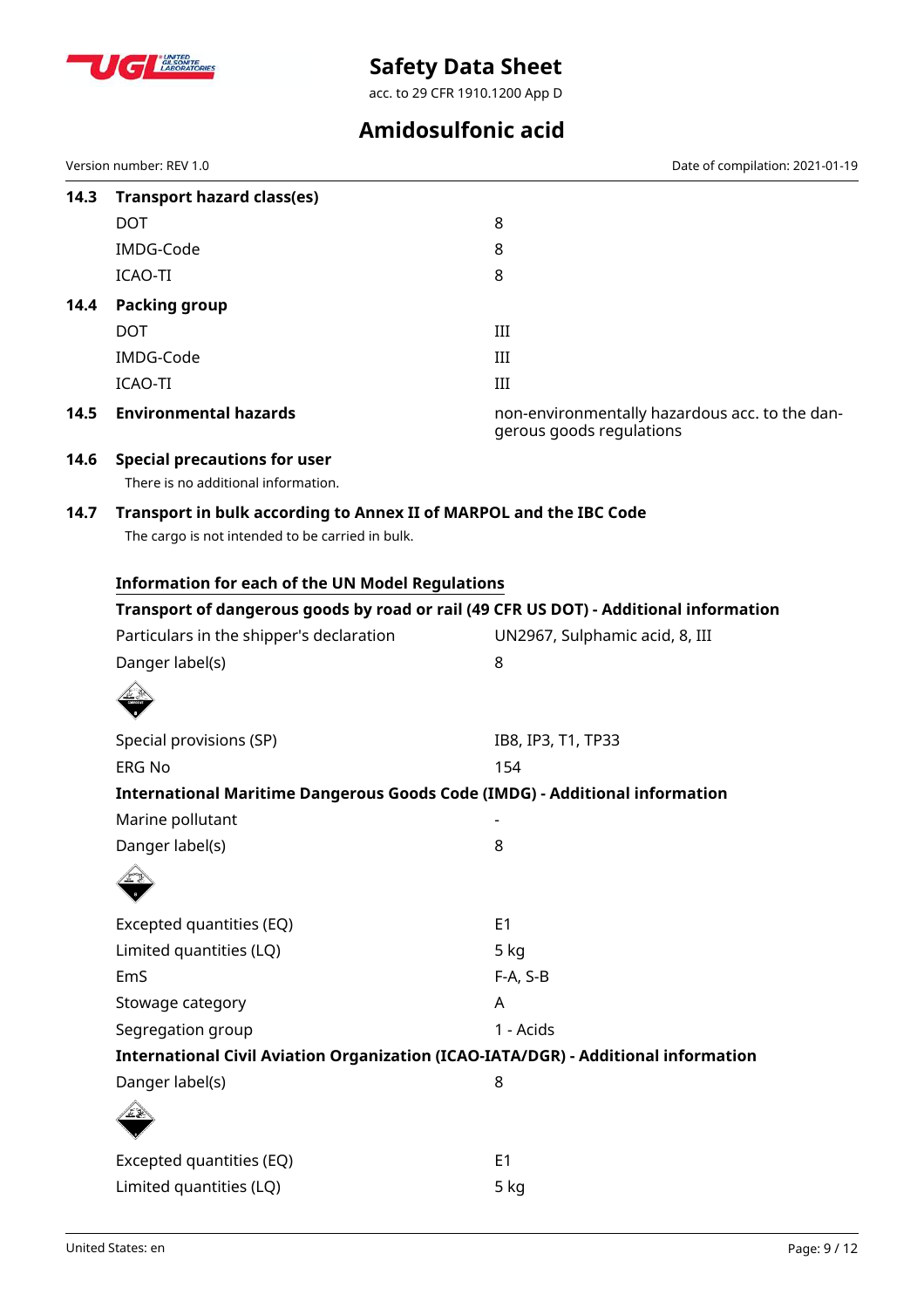

acc. to 29 CFR 1910.1200 App D

## **Amidosulfonic acid**

|      | Version number: REV 1.0                                                                                                | Date of compilation: 2021-01-19                                                       |  |  |  |  |  |
|------|------------------------------------------------------------------------------------------------------------------------|---------------------------------------------------------------------------------------|--|--|--|--|--|
| 14.3 | <b>Transport hazard class(es)</b>                                                                                      |                                                                                       |  |  |  |  |  |
|      | <b>DOT</b>                                                                                                             | 8                                                                                     |  |  |  |  |  |
|      | IMDG-Code                                                                                                              | 8                                                                                     |  |  |  |  |  |
|      | <b>ICAO-TI</b>                                                                                                         | 8                                                                                     |  |  |  |  |  |
| 14.4 | <b>Packing group</b>                                                                                                   |                                                                                       |  |  |  |  |  |
|      | <b>DOT</b>                                                                                                             | III                                                                                   |  |  |  |  |  |
|      | IMDG-Code                                                                                                              | III                                                                                   |  |  |  |  |  |
|      | ICAO-TI                                                                                                                | III                                                                                   |  |  |  |  |  |
| 14.5 | <b>Environmental hazards</b>                                                                                           | non-environmentally hazardous acc. to the dan-<br>gerous goods regulations            |  |  |  |  |  |
| 14.6 | <b>Special precautions for user</b>                                                                                    |                                                                                       |  |  |  |  |  |
|      | There is no additional information.                                                                                    |                                                                                       |  |  |  |  |  |
| 14.7 | Transport in bulk according to Annex II of MARPOL and the IBC Code<br>The cargo is not intended to be carried in bulk. |                                                                                       |  |  |  |  |  |
|      |                                                                                                                        | <b>Information for each of the UN Model Regulations</b>                               |  |  |  |  |  |
|      |                                                                                                                        | Transport of dangerous goods by road or rail (49 CFR US DOT) - Additional information |  |  |  |  |  |
|      | Particulars in the shipper's declaration                                                                               | UN2967, Sulphamic acid, 8, III                                                        |  |  |  |  |  |
|      | Danger label(s)                                                                                                        | 8                                                                                     |  |  |  |  |  |
|      |                                                                                                                        |                                                                                       |  |  |  |  |  |
|      | Special provisions (SP)                                                                                                | IB8, IP3, T1, TP33                                                                    |  |  |  |  |  |
|      | <b>ERG No</b>                                                                                                          | 154                                                                                   |  |  |  |  |  |
|      | International Maritime Dangerous Goods Code (IMDG) - Additional information                                            |                                                                                       |  |  |  |  |  |
|      | Marine pollutant                                                                                                       |                                                                                       |  |  |  |  |  |
|      | Danger label(s)                                                                                                        | 8                                                                                     |  |  |  |  |  |
|      |                                                                                                                        |                                                                                       |  |  |  |  |  |
|      | Excepted quantities (EQ)                                                                                               | E <sub>1</sub>                                                                        |  |  |  |  |  |
|      | Limited quantities (LQ)                                                                                                | $5$ kg                                                                                |  |  |  |  |  |
|      | EmS                                                                                                                    | F-A, S-B                                                                              |  |  |  |  |  |
|      | Stowage category                                                                                                       | A                                                                                     |  |  |  |  |  |
|      | Segregation group                                                                                                      | 1 - Acids                                                                             |  |  |  |  |  |
|      | International Civil Aviation Organization (ICAO-IATA/DGR) - Additional information                                     |                                                                                       |  |  |  |  |  |
|      | Danger label(s)                                                                                                        | 8                                                                                     |  |  |  |  |  |
|      |                                                                                                                        |                                                                                       |  |  |  |  |  |
|      | Excepted quantities (EQ)                                                                                               | E <sub>1</sub>                                                                        |  |  |  |  |  |
|      | Limited quantities (LQ)                                                                                                | 5 kg                                                                                  |  |  |  |  |  |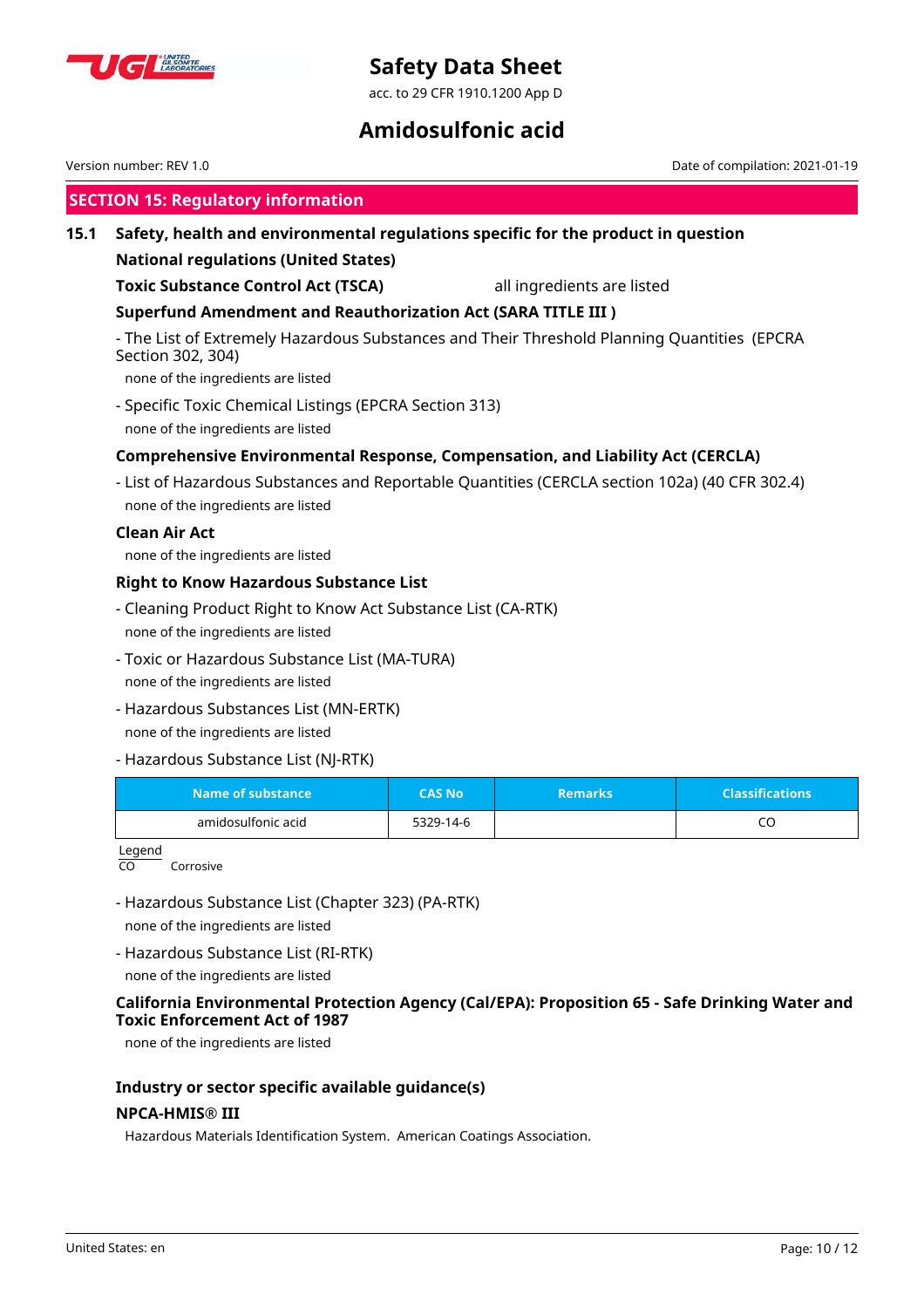

acc. to 29 CFR 1910.1200 App D

## **Amidosulfonic acid**

|                                             | Version number: REV 1.0                                                                                                                                |               |                            | Date of compilation: 2021-01-19 |  |
|---------------------------------------------|--------------------------------------------------------------------------------------------------------------------------------------------------------|---------------|----------------------------|---------------------------------|--|
|                                             | <b>SECTION 15: Regulatory information</b>                                                                                                              |               |                            |                                 |  |
| 15.1                                        | Safety, health and environmental regulations specific for the product in question                                                                      |               |                            |                                 |  |
| <b>National regulations (United States)</b> |                                                                                                                                                        |               |                            |                                 |  |
|                                             | <b>Toxic Substance Control Act (TSCA)</b>                                                                                                              |               | all ingredients are listed |                                 |  |
|                                             | <b>Superfund Amendment and Reauthorization Act (SARA TITLE III)</b>                                                                                    |               |                            |                                 |  |
|                                             | - The List of Extremely Hazardous Substances and Their Threshold Planning Quantities (EPCRA<br>Section 302, 304)<br>none of the ingredients are listed |               |                            |                                 |  |
|                                             | - Specific Toxic Chemical Listings (EPCRA Section 313)<br>none of the ingredients are listed                                                           |               |                            |                                 |  |
|                                             | Comprehensive Environmental Response, Compensation, and Liability Act (CERCLA)                                                                         |               |                            |                                 |  |
|                                             | - List of Hazardous Substances and Reportable Quantities (CERCLA section 102a) (40 CFR 302.4)<br>none of the ingredients are listed                    |               |                            |                                 |  |
|                                             | <b>Clean Air Act</b><br>none of the ingredients are listed                                                                                             |               |                            |                                 |  |
|                                             | <b>Right to Know Hazardous Substance List</b>                                                                                                          |               |                            |                                 |  |
|                                             | - Cleaning Product Right to Know Act Substance List (CA-RTK)<br>none of the ingredients are listed                                                     |               |                            |                                 |  |
|                                             | - Toxic or Hazardous Substance List (MA-TURA)<br>none of the ingredients are listed                                                                    |               |                            |                                 |  |
|                                             | - Hazardous Substances List (MN-ERTK)<br>none of the ingredients are listed                                                                            |               |                            |                                 |  |
|                                             | - Hazardous Substance List (NJ-RTK)                                                                                                                    |               |                            |                                 |  |
|                                             | <b>Name of substance</b>                                                                                                                               | <b>CAS No</b> | <b>Remarks</b>             | <b>Classifications</b>          |  |
|                                             | amidosulfonic acid                                                                                                                                     | 5329-14-6     |                            | CO                              |  |
|                                             | Legend<br>CO<br>Corrosive                                                                                                                              |               |                            |                                 |  |
|                                             | - Hazardous Substance List (Chapter 323) (PA-RTK)                                                                                                      |               |                            |                                 |  |
|                                             | none of the ingredients are listed                                                                                                                     |               |                            |                                 |  |
|                                             | - Hazardous Substance List (RI-RTK)<br>none of the ingredients are listed                                                                              |               |                            |                                 |  |
|                                             | California Environmental Protection Agency (Cal/EPA): Proposition 65 - Safe Drinking Water and<br>Tavic Enforcement Act of 1007                        |               |                            |                                 |  |

**Toxic Enforcement Act of 1987**

none of the ingredients are listed

## **Industry or sector specific available guidance(s)**

## **NPCA-HMIS® III**

Hazardous Materials Identification System. American Coatings Association.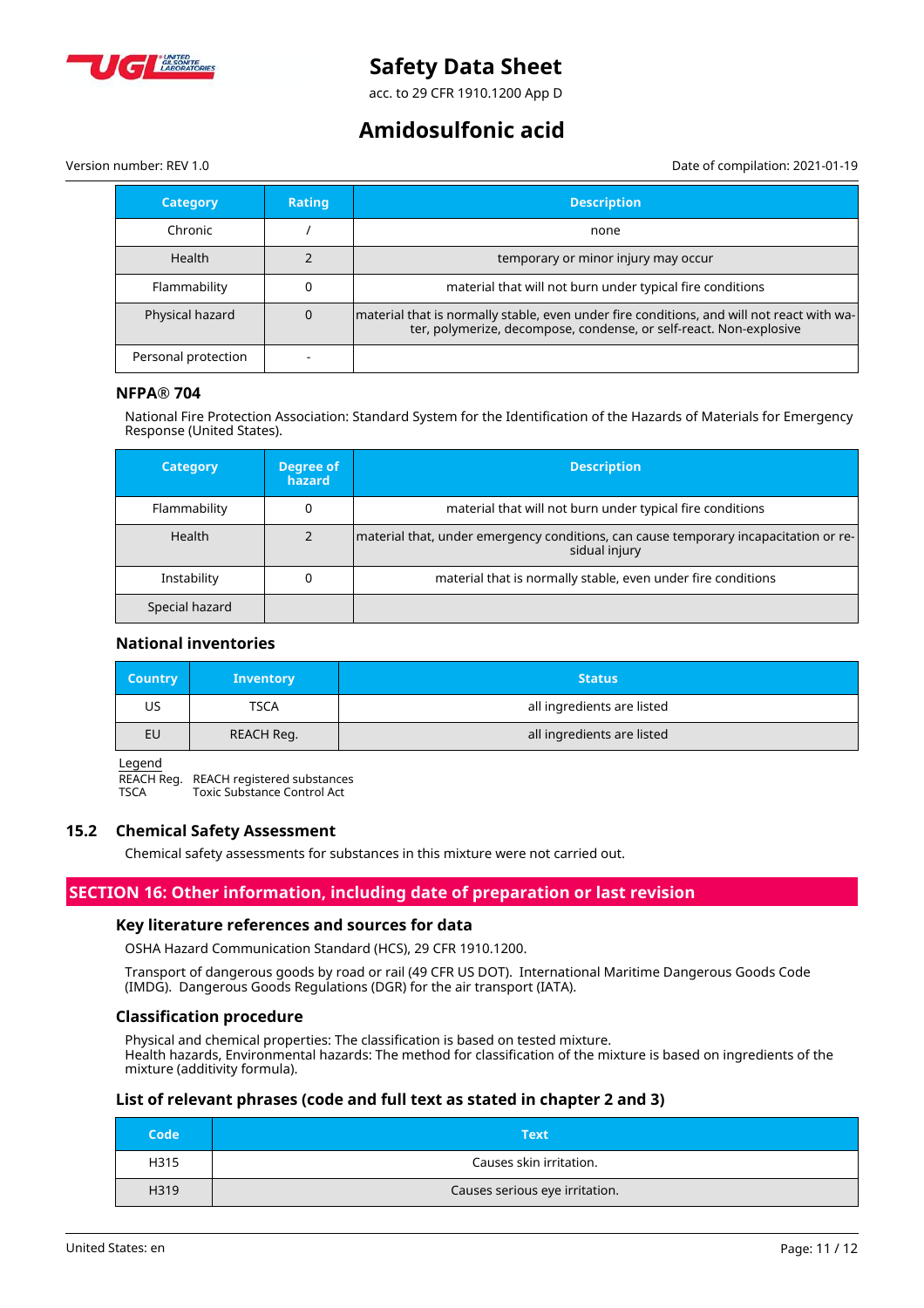

acc. to 29 CFR 1910.1200 App D

## **Amidosulfonic acid**

Version number: REV 1.0 Date of compilation: 2021-01-19

| <b>Category</b>     | <b>Rating</b> | <b>Description</b>                                                                                                                                              |
|---------------------|---------------|-----------------------------------------------------------------------------------------------------------------------------------------------------------------|
| Chronic             |               | none                                                                                                                                                            |
| <b>Health</b>       |               | temporary or minor injury may occur                                                                                                                             |
| Flammability        |               | material that will not burn under typical fire conditions                                                                                                       |
| Physical hazard     |               | material that is normally stable, even under fire conditions, and will not react with wa-<br>ter, polymerize, decompose, condense, or self-react. Non-explosive |
| Personal protection |               |                                                                                                                                                                 |

#### **NFPA® 704**

National Fire Protection Association: Standard System for the Identification of the Hazards of Materials for Emergency Response (United States).

| <b>Category</b> | Degree of<br>hazard | <b>Description</b>                                                                                    |
|-----------------|---------------------|-------------------------------------------------------------------------------------------------------|
| Flammability    |                     | material that will not burn under typical fire conditions                                             |
| Health          |                     | material that, under emergency conditions, can cause temporary incapacitation or re-<br>sidual injury |
| Instability     |                     | material that is normally stable, even under fire conditions                                          |
| Special hazard  |                     |                                                                                                       |

#### **National inventories**

| <b>Country</b> | <b>Inventory</b> | <b>Status</b>              |
|----------------|------------------|----------------------------|
| US             | TSCA             | all ingredients are listed |
| EU             | REACH Reg.       | all ingredients are listed |

Legend

REACH Reg. REACH registered substances<br>TSCA Toxic Substance Control Act Toxic Substance Control Act

#### **15.2 Chemical Safety Assessment**

Chemical safety assessments for substances in this mixture were not carried out.

## **SECTION 16: Other information, including date of preparation or last revision**

## **Key literature references and sources for data**

OSHA Hazard Communication Standard (HCS), 29 CFR 1910.1200.

Transport of dangerous goods by road or rail (49 CFR US DOT). International Maritime Dangerous Goods Code (IMDG). Dangerous Goods Regulations (DGR) for the air transport (IATA).

#### **Classification procedure**

Physical and chemical properties: The classification is based on tested mixture. Health hazards, Environmental hazards: The method for classification of the mixture is based on ingredients of the mixture (additivity formula).

## **List of relevant phrases (code and full text as stated in chapter 2 and 3)**

| Code | <b>Text</b>                    |
|------|--------------------------------|
| H315 | Causes skin irritation.        |
| H319 | Causes serious eye irritation. |